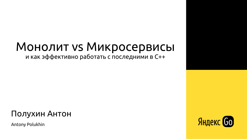### Монолит vs Микросервисы и как эффективно работать с последними в С++

#### Полухин Антон

Antony Polukhin



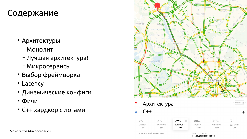### Содержание

- Архитектуры
	- Монолит
	- Лучшая архитектура!
	- Микросервисы
- Выбор фреймворка
- Latency
- Динамические конфиги
- Фичи
- С++ хардкор с логами







Комментарий, пожелания

Способ оплаты Команда Яндекс. Такси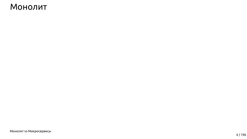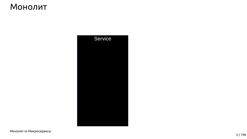

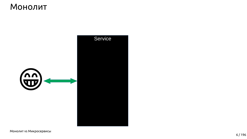

Service

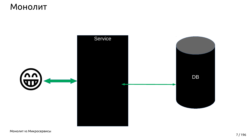

Service



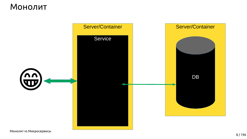

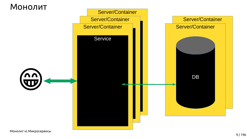



Server/Container

#### Service

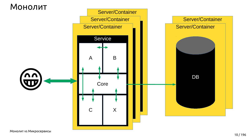



Server/Container Service A B

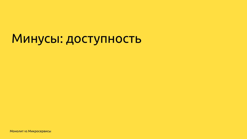# Минусы: доступность

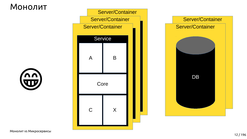



Монолит vs Микросервисы



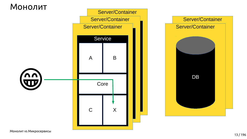



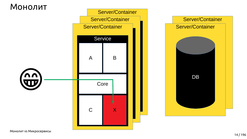



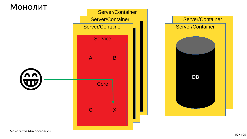



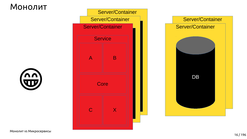



Монолит vs Микросервисы



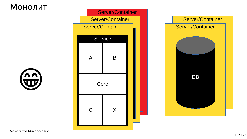



Монолит vs Микросервисы



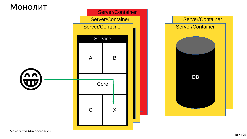



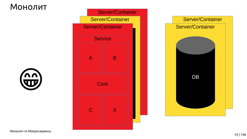



Монолит vs Микросервисы



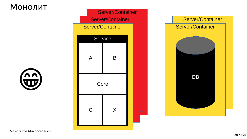



Монолит vs Микросервисы



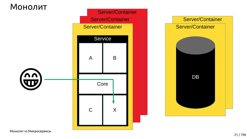



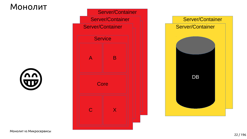



Монолит vs Микросервисы



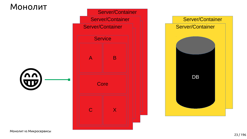



Монолит vs Микросервисы



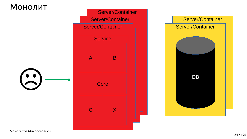

Монолит vs Микросервисы

#### Server/Container Server/Container



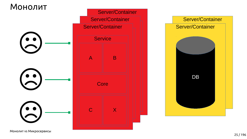

#### Server/Container Server/Container



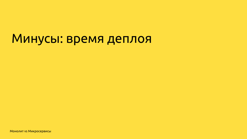# Минусы: время деплоя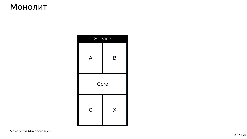

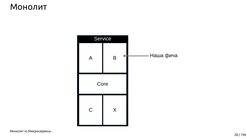

**Монолит vs Микросервисы** 

#### - Наша фича





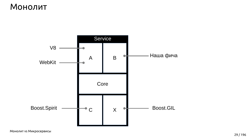

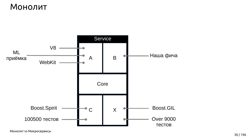

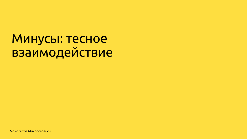# Минусы: тесное взаимодействие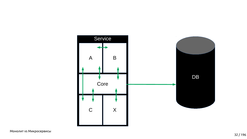



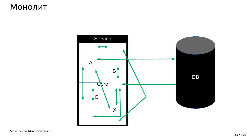

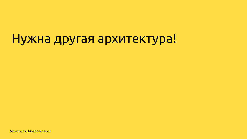# Нужна другая архитектура!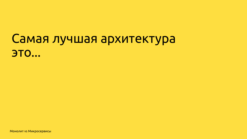# Самая лучшая архитектура **ЭТО...**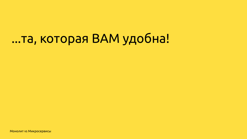# ...та, которая ВАМ удобна!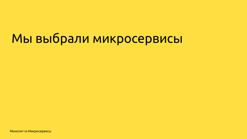# Мы выбрали микросервисы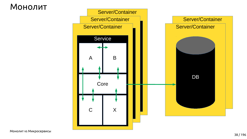





38 / 196

### Монолит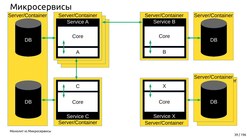









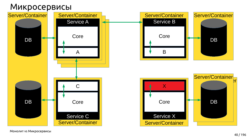









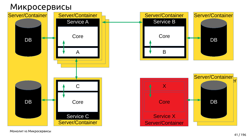











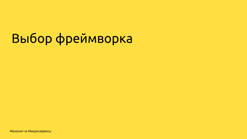# Выбор фреймворка

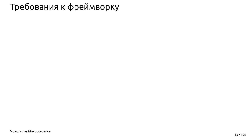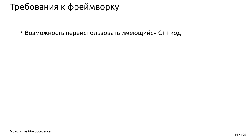



• Возможность переиспользовать имеющийся С++ код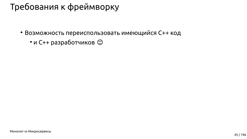



- Возможность переиспользовать имеющийся С++ код
	- и С++ разработчиков  $\odot$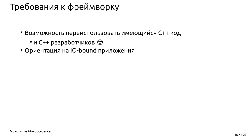



- Возможность переиспользовать имеющийся С++ код
	- и С++ разработчиков  $\odot$
- Ориентация на IO-bound приложения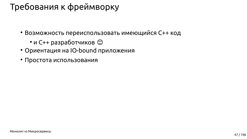



- Возможность переиспользовать имеющийся С++ код
	- и С++ разработчиков  $\odot$
- Ориентация на IO-bound приложения
- Простота использования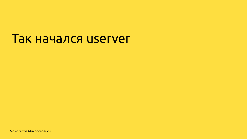# Так начался userver

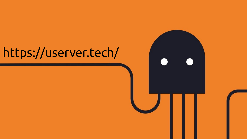# <https://userver.tech/>



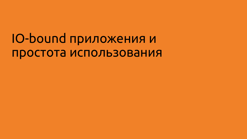# IO-bound приложения и простота использования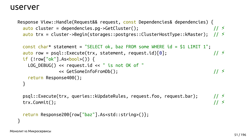$auto$  cluster = dependencies.pg->GetCluster();

 $const$  char\* statement = "SELECT ok, baz FROM some WHERE id = \$1 LIMIT 1";  $auto row = psql::Execute(trx, statement, request.id)[0];$ if  $(!row['ok"]$ .As<bool>()) {  $LOG_DEBUG() \ll request.id \ll " is not OK of "$ << GetSomeInfoFromDb(); return Response400();

psql::Execute(trx, queries::kUpdateRules, request.foo, request.bar); trx.Commit();

```
return Response200{row["baz"].As<std::string>()};
```

```
Response View::Handle(Request&& request, const Dependencies& dependencies) {
                                                                                 11 \leqauto trx = cluster->Begin(storages::postgres::ClusterHostType::kMaster); // \frac{1}{2}
```

```
11 \le
```
 $11$  >  $11 \leq$ 

 $11 \leq$ 

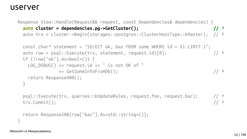```
Response View::Handle(Request&& request, const Dependencies& dependencies) {
  auto cluster = dependencies.pg->GetCluster();
                                                                            11 \leauto trx = cluster->Begin(storages::postgres::ClusterHostType::kMaster); // \geconst char* statement = "SELECT ok, baz FROM some WHERE id = $1 LIMIT 1";
  auto row = psql::Execute(tx, statement, request.id)[0];if (!row['ok"]. As<bool>()) {
```

```
11 \divLOG DEBUG() \ll request.id \ll " is not OK of "11 \le<< GetSomeInfoFromDb();
return Response400();
```

```
11 5psql::Execute(trx, queries::kUpdateRules, request.foo, request.bar);
                                                                            11 \divtrx.Commit();
```

```
return Response200{row["baz"].As<std::string>()};
```
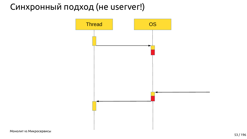

# Синхронный подход (не userver!)

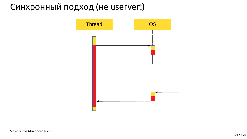

# Синхронный подход (не userver!)

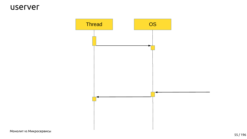

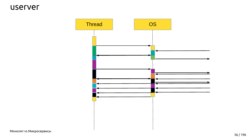

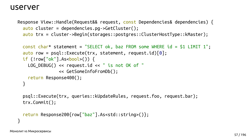$auto$  cluster = dependencies.pg->GetCluster(); auto trx = cluster->Begin(storages::postgres::ClusterHostType::kMaster);

 $auto row = psql::Execute(tx, statement, request.id)[0];$ if  $(!row['ok"]$ .As<bool>()) {  $LOG$   $DEBUG() \ll request.id \ll " is not OK of "$ << GetSomeInfoFromDb(); return Response400();

psql::Execute(trx, queries::kUpdateRules, request.foo, request.bar); trx.Commit();

```
return Response200{row["baz"].As<std::string>()};
```

```
Response View::Handle(Request&& request, const Dependencies& dependencies) {
```

```
const char* statement = "SELECT ok, baz FROM some WHERE id = $1 LIMIT 1";
```
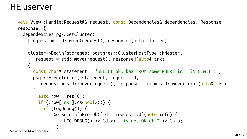## HE userver

```
void View::Handle(Request&& request, const Dependencies& dependencies, Response
response) {
  dependencies.pg->GetCluster(
    [request = std::move(request), res్) (auto cluster)cluster->Begin(storages::postgres::ClusterHostType::kMaster,
      [request = std::move(request), response](auto& trx)\{const char* statement = "SELECT ok, baz FROM some WHERE id = $1 LIMIT 1";
      psql::Execute(trx, statement, request.id,
        [request = std::move(request), response, trx = std::move(trx)](auto& res)
        auto row = res[0];
        if (!row['ok"].As<bool>()) {
          if (LogDebug()) {
              GetSomeInfoFromDb([id = request.id](auto info) {
                  LOG_DEBUG() << id << " is not OK of " << info;\});
```
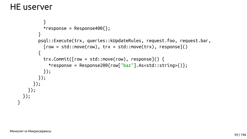

### НЕ userver

```
 }
          *response = Response400\}; }
         psql::Execute(trx, queries::kUpdateRules, request.foo, request.bar,
          [row = std::move(row), trx = std::move(trx), res్ = std::move(trx)\overline{\mathcal{L}} trx.Commit([row = std::move(row), response]() {
            *response = Response200{row['baz'']}.As<std::string>()}; });
         });
       });
     });
  });
}
```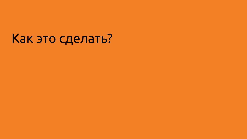# Как это сделать?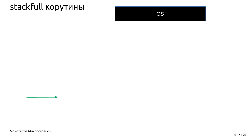



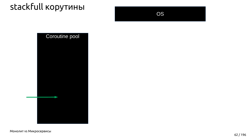



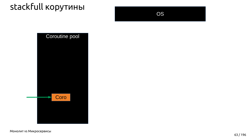



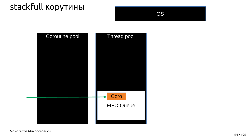

**Монолит vs Микросервисы** 

OS

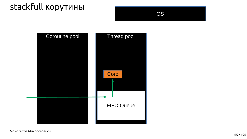

**Монолит vs Микросервисы** 

OS

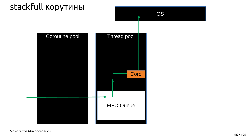

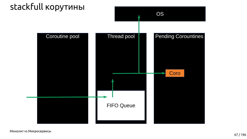

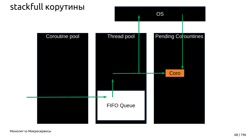

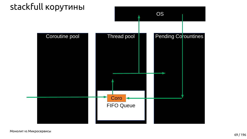

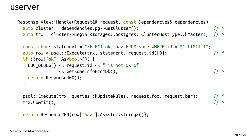$auto$  cluster = dependencies.pg->GetCluster();

 $const$  char\* statement = "SELECT ok, baz FROM some WHERE id = \$1 LIMIT 1";  $auto row = psql::Execute(trx, statement, request.id)[0];$ if  $(!row['ok"]$ .As<bool>()) {  $LOG_DEBUG() \ll request.id \ll " is not OK of "$ << GetSomeInfoFromDb(); return Response400();

psql::Execute(trx, queries::kUpdateRules, request.foo, request.bar); trx.Commit();

```
return Response200{row["baz"].As<std::string>()};
```

```
Response View::Handle(Request&& request, const Dependencies& dependencies) {
                                                                                 11 \leqauto trx = cluster->Begin(storages::postgres::ClusterHostType::kMaster); // \frac{1}{2}
```

```
11 \le
```
 $11$  >  $11 \leq$ 

 $11 \leq$ 

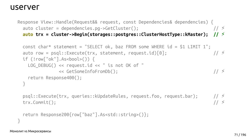auto cluster = dependencies.pg->GetCluster();

```
const char* statement = "SELECT ok, baz FROM some WHERE id = $1 LIMIT 1";
auto row = psql::Execute(tx, statement, request.id)[0];11 \divif (!row['ok"]. As<bool>()) {
  LOG DEBUG() \ll request.id \ll " is not OK of "11 \le<< GetSomeInfoFromDb();
  return Response400();
                                                                           11 5
```
psql::Execute(trx, queries::kUpdateRules, request.foo, request.bar); trx.Commit();

```
return Response200{row["baz"].As<std::string>()};
```

```
Response View::Handle(Request&& request, const Dependencies& dependencies) {
                                                                                11 \leauto trx = cluster->Begin(storages::postgres::ClusterHostType::kMaster); // \frac{1}{2}
```


 $11 \div$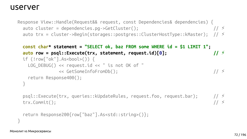Response View::Handle(Request&& request, const Dependencies& dependencies) { auto cluster = dependencies.pg->GetCluster();  $11 \leq$ auto trx = cluster->Begin(storages::postgres::ClusterHostType::kMaster); //  $\ge$ 

```
auto row = psql::Execute(tx, statement, request.id)[0];if (!row['ok"]. As<bool>()) {
  LOG DEBUG() \ll request.id \ll " is not OK of "<< GetSomeInfoFromDb();
  return Response400();
```

```
psql::Execute(trx, queries::kUpdateRules, request.foo, request.bar);
trx.Commit();
```

```
return Response200{row["baz"].As<std::string>()};
```
 $const$  char\* statement = "SELECT ok, baz FROM some WHERE id = \$1 LIMIT 1";  $11 \le$ 

 $11$  >  $11 \div$ 

 $11 \le$ 

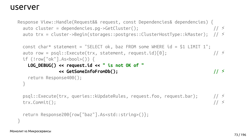Response View::Handle(Request&& request, const Dependencies& dependencies) { auto cluster = dependencies.pg->GetCluster();  $11 \le$ auto trx = cluster->Begin(storages::postgres::ClusterHostType::kMaster); //  $\ge$ 

 $const$  char\* statement = "SELECT ok, baz FROM some WHERE id = \$1 LIMIT 1";  $auto row = psql::Execute(tx, statement, request.id)[0];$  $11 \div$ if (!row["ok"].As<bool>()) {

#### $LOG_DEBUG() \ll request.id \ll " is not OK of "$ << GetSomeInfoFromDb();

return Response400();

psql::Execute(trx, queries::kUpdateRules, request.foo, request.bar); trx.Commit();

```
return Response200{row["baz"].As<std::string>()};
```
 $11 \leq$ 

 $11$  >  $11 \div$ 

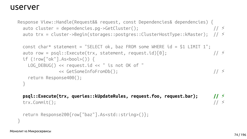auto cluster = dependencies.pg->GetCluster();

 $const$  char\* statement = "SELECT ok, baz FROM some WHERE id = \$1 LIMIT 1";  $auto row = psql::Execute(trx, statement, request.id)[0];$  $11 \div$ if  $(!row['ok"]$ . As<bool>()) {  $LOG$   $DEBUG() \ll request.id \ll " is not OK of "$  $11 \le$ << GetSomeInfoFromDb(); return Response400();

psql::Execute(trx, queries::kUpdateRules, request.foo, request.bar); trx.Commit();

return Response200{row["baz"].As<std::string>()};

**Монолит vs Микросервисы** 

```
Response View::Handle(Request&& request, const Dependencies& dependencies) {
                                                                 11 \leqauto trx = cluster->Begin(storages::postgres::ClusterHostType::kMaster); // \ge
```
 $11$  >  $11 \div$ 

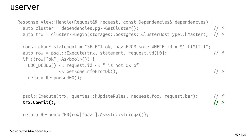auto cluster = dependencies.pg->GetCluster();

 $const$  char\* statement = "SELECT ok, baz FROM some WHERE id = \$1 LIMIT 1";  $auto row = psql::Execute(tx, statement, request.id)[0];$ if (!row["ok"].As<bool>()) {  $LOG$   $DEBUG() \ll request.id \ll " is not OK of "$ << GetSomeInfoFromDb(); return Response400();

psql::Execute(trx, queries::kUpdateRules, request.foo, request.bar);  $trx$ . Commit();

```
return Response200{row["baz"].As<std::string>()};
```

```
Response View::Handle(Request&& request, const Dependencies& dependencies) {
                                                                11 \leauto trx = cluster->Begin(storages::postgres::ClusterHostType::kMaster); // \ge
```
 $11 \div$ 

 $11$  >  $11 \div$ 

 $11 \le$ 

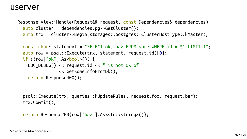$auto$  cluster = dependencies.pg->GetCluster(); auto trx = cluster->Begin(storages::postgres::ClusterHostType::kMaster);

 $auto row = psql::Execute(tx, statement, request.id)[0];$ if  $(!row['ok"]$ .As<bool>()) {  $LOG$   $DEBUG() \ll request.id \ll " is not OK of "$ << GetSomeInfoFromDb(); return Response400();

psql::Execute(trx, queries::kUpdateRules, request.foo, request.bar);  $trx$ . Commit();

```
return Response200{row["baz"].As<std::string>()};
```

```
Response View::Handle(Request&& request, const Dependencies& dependencies) {
```

```
const char* statement = "SELECT ok, baz FROM some WHERE id = $1 LIMIT 1";
```
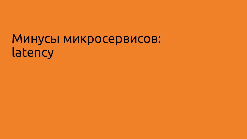# Минусы микросервисов: latency

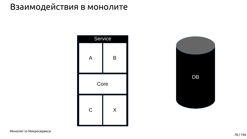

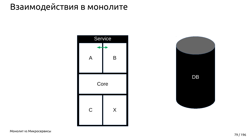

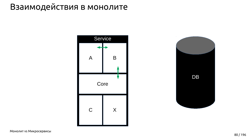

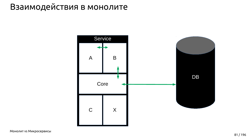

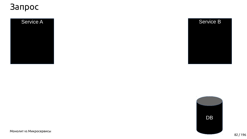#### Service A

**Монолит vs Микросервисы** 

#### Service B



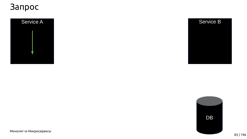

**Монолит vs Микросервисы** 

#### Service B



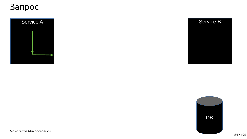84 / 196

# Запрос





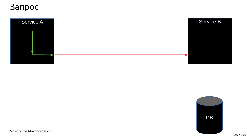

**Монолит vs Микросервисы** 

#### Service B

DB

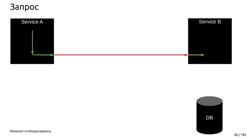

**Монолит vs Микросервисы** 

# Service B



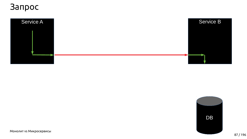

**Монолит vs Микросервисы** 







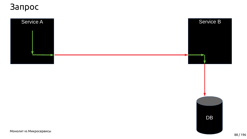

**Монолит vs Микросервисы** 





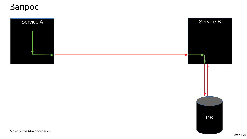89 / 196



# Запрос





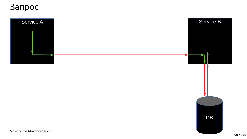

**Монолит vs Микросервисы** 



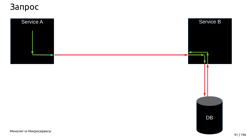

**Монолит vs Микросервисы** 



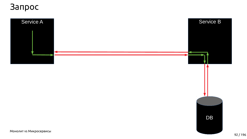

**Монолит vs Микросервисы** 



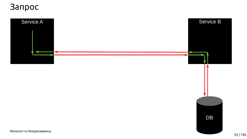93 / 196







# Запрос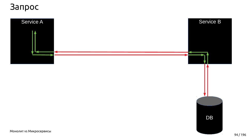94 / 196





# Запрос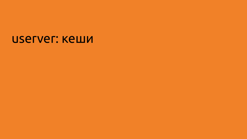# иserver: кеши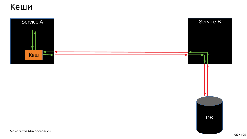





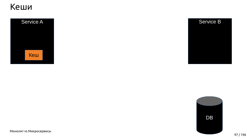



#### Service B



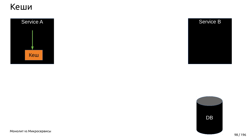#### Кеши



**Монолит vs Микросервисы** 

#### Service B





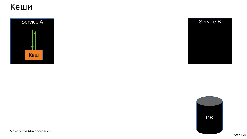#### Кеши



#### Service B



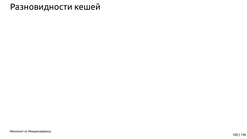

#### Разновидности кешей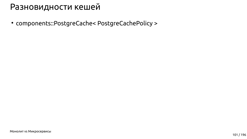● components::PostgreCache< PostgreCachePolicy >

Монолит vs Микросервисы



#### Разновидности кешей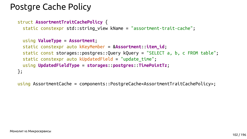

# Postgre Cache Policy

struct **AssortmentTraitCachePolicy** { static constexpr std::string\_view kName = "assortment-trait-cache";

```
 static const storages::postgres::Query kQuery = "SELECT a, b, c FROM table";
```
 using **ValueType** = **Assortment**; static constexpr auto kKeyMember = &**Assortment**::**item\_id**; static constexpr auto kUpdatedField = "update time"; using **UpdatedFieldType** = **storages**::**postgres**::**TimePointTz**; };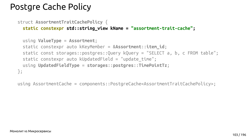

# Postgre Cache Policy

struct **AssortmentTraitCachePolicy** {  **static constexpr std::string\_view kName = "assortment-trait-cache";**

```
 static const storages::postgres::Query kQuery = "SELECT a, b, c FROM table";
```
 using **ValueType** = **Assortment**; static constexpr auto kKeyMember = &**Assortment**::**item\_id**; static constexpr auto kUpdatedField = "update time"; using **UpdatedFieldType** = **storages**::**postgres**::**TimePointTz**; };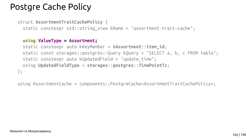

# Postgre Cache Policy

#### **using ValueType = Assortment;**

```
 static const storages::postgres::Query kQuery = "SELECT a, b, c FROM table";
```
 static constexpr auto kKeyMember = &**Assortment**::**item\_id**; static constexpr auto kUpdatedField = "update time"; using **UpdatedFieldType** = **storages**::**postgres**::**TimePointTz**; };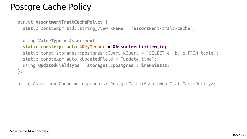

# Postgre Cache Policy

 using **ValueType** = **Assortment**;  **static constexpr auto kKeyMember = &Assortment::item\_id;** static const storages::postgres::Query kQuery = "SELECT a, b, c FROM table"; static constexpr auto kUpdatedField = "update time"; using **UpdatedFieldType** = **storages**::**postgres**::**TimePointTz**; };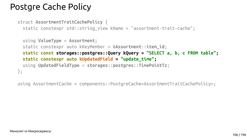

# Postgre Cache Policy

```
 static const storages::postgres::Query kQuery = "SELECT a, b, c FROM table";
```
 using **ValueType** = **Assortment**; static constexpr auto kKeyMember = &**Assortment**::**item\_id**;  **static constexpr auto kUpdatedField = "update\_time";** using **UpdatedFieldType** = **storages**::**postgres**::**TimePointTz**; };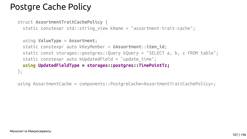

# Postgre Cache Policy

```
 static const storages::postgres::Query kQuery = "SELECT a, b, c FROM table";
```
 using **ValueType** = **Assortment**; static constexpr auto kKeyMember = &**Assortment**::**item\_id**; static constexpr auto kUpdatedField = "update time";  **using UpdatedFieldType = storages::postgres::TimePointTz;** };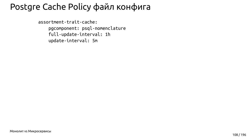# Postgre Cache Policy файл конфига

assortment-trait-cache: pgcomponent: psql-nomenclature full-update-interval: 1h update-interval: 5m

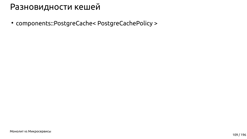● components::PostgreCache< PostgreCachePolicy >

Монолит vs Микросервисы

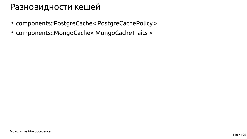- components::PostgreCache< PostgreCachePolicy >
- components::MongoCache< MongoCacheTraits >

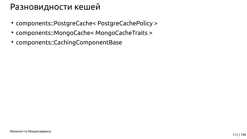

- components::PostgreCache< PostgreCachePolicy >
- components::MongoCache< MongoCacheTraits >
- components::CachingComponentBase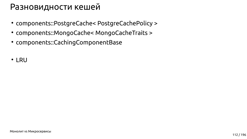- components::PostgreCache< PostgreCachePolicy >
- components::MongoCache< MongoCacheTraits >
- components::CachingComponentBase
- LRU

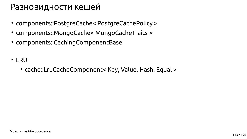

- components::PostgreCache< PostgreCachePolicy >
- components::MongoCache< MongoCacheTraits >
- components::CachingComponentBase
- LRU
	- cache::LruCacheComponent< Key, Value, Hash, Equal >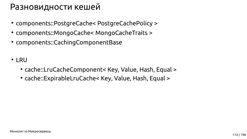

- components::PostgreCache< PostgreCachePolicy >
- components::MongoCache< MongoCacheTraits >
- components::CachingComponentBase
- LRU
	- cache::LruCacheComponent< Key, Value, Hash, Equal >
	- cache::ExpirableLruCache< Key, Value, Hash, Equal >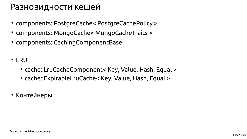

- components::PostgreCache< PostgreCachePolicy >
- components::MongoCache< MongoCacheTraits >
- components::CachingComponentBase
- LRU
	- cache::LruCacheComponent< Key, Value, Hash, Equal >
	- cache::ExpirableLruCache< Key, Value, Hash, Equal >
- Контейнеры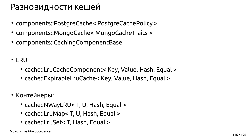

- components::PostgreCache< PostgreCachePolicy >
- components::MongoCache< MongoCacheTraits >
- components::CachingComponentBase
- LRU
	- cache::LruCacheComponent< Key, Value, Hash, Equal >
	- cache::ExpirableLruCache< Key, Value, Hash, Equal >
- Контейнеры:
	- cache::NWayLRU< T, U, Hash, Equal >
	- cache::LruMap< T, U, Hash, Equal >
	- cache::LruSet< T, Hash, Equal >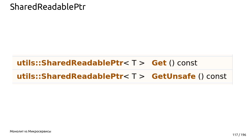

### SharedReadablePtr

## utils::SharedReadablePtr<  $T >$  Get () const utils::SharedReadablePtr<  $T >$  GetUnsafe () const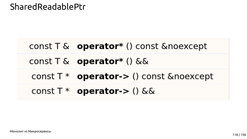

### SharedReadablePtr

# const T & operator\* () const &noexcept const  $T \& \text{operator}$ tor\* () && const  $T^*$  operator-> () const &noexcept const  $T^*$  operator-> () & &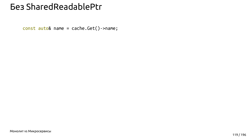#### *<u>Bes SharedReadablePtr</u>*

const auto& name = cache.Get()->name;

Монолит vs Микросервисы

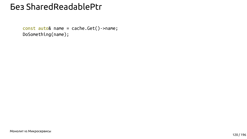#### *<u>Bes SharedReadablePtr</u>*

const auto& name = cache.Get()->name; DoSomething(name);

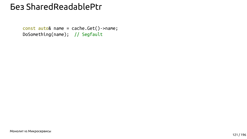#### *<u>Bes SharedReadablePtr</u>*

const auto& name = cache.Get()->name; DoSomething(name); // Segfault

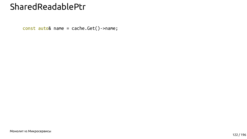#### SharedReadablePtr

const auto& name = cache.Get()->name;

**Монолит vs Микросервисы** 

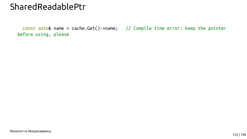

#### SharedReadablePtr

#### const auto& name = cache.Get()->name; // Compile time error: keep the pointer

before using, please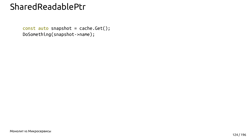

### SharedReadablePtr

 const auto snapshot = cache.Get(); DoSomething(snapshot->name);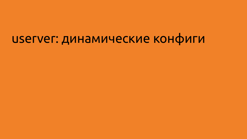# userver: динамические конфиги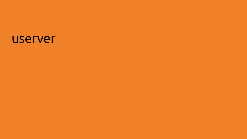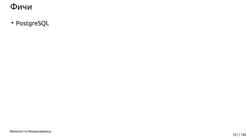· PostgreSQL

Монолит vs Микросервисы

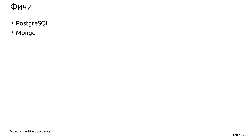- · PostgreSQL
- · Mongo

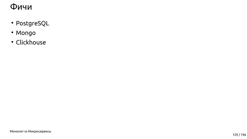- · PostgreSQL
- · Mongo
- · Clickhouse

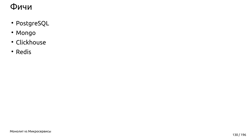- · PostgreSQL
- · Mongo
- · Clickhouse
- · Redis

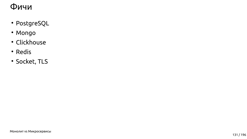- · PostgreSQL
- · Mongo
- · Clickhouse
- · Redis
- · Socket, TLS

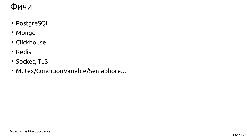- · PostgreSQL
- · Mongo
- · Clickhouse
- · Redis
- · Socket, TLS
- · Mutex/ConditionVariable/Semaphore...

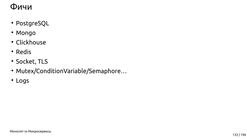- · PostgreSQL
- · Mongo
- · Clickhouse
- · Redis
- · Socket, TLS
- · Mutex/ConditionVariable/Semaphore...
- · Logs

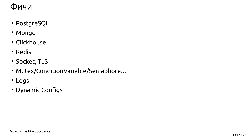- · PostgreSQL
- · Mongo
- · Clickhouse
- · Redis
- · Socket, TLS
- · Mutex/ConditionVariable/Semaphore...
- · Logs
- · Dynamic Configs

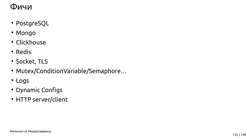

- PostgreSQL
- Mongo
- Clickhouse
- Redis
- Socket, TLS
- Mutex/ConditionVariable/Semaphore...
- Logs
- Dynamic Configs
- HTTP server/client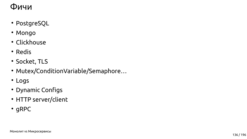- PostgreSQL
- Mongo
- Clickhouse
- Redis
- Socket, TLS
- Mutex/ConditionVariable/Semaphore...
- Logs
- Dynamic Configs
- HTTP server/client
- gRPC

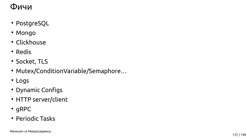

- PostgreSQL
- Mongo
- Clickhouse
- Redis
- Socket, TLS
- Mutex/ConditionVariable/Semaphore...
- Logs
- Dynamic Configs
- HTTP server/client
- gRPC
- Periodic Tasks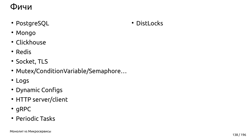

- PostgreSQL
- Mongo
- Clickhouse
- Redis
- Socket, TLS
- Mutex/ConditionVariable/Semaphore...
- Logs
- Dynamic Configs
- HTTP server/client
- gRPC
- Periodic Tasks



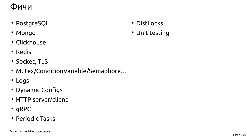- DistLocks
- Unit testing





- PostgreSQL
- Mongo
- Clickhouse
- Redis
- Socket, TLS
- Mutex/ConditionVariable/Semaphore...
- Logs
- Dynamic Configs
- HTTP server/client
- gRPC
- Periodic Tasks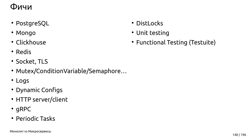- DistLocks
- Unit testing
- Functional Testing (Testuite)



- PostgreSQL
- Mongo
- Clickhouse
- Redis
- Socket, TLS
- Mutex/ConditionVariable/Semaphore...
- Logs
- Dynamic Configs
- HTTP server/client
- gRPC
- Periodic Tasks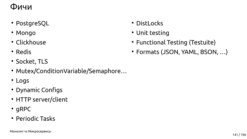- DistLocks
- Unit testing
- Functional Testing (Testuite)
- Formats (JSON, YAML, BSON, ...)



- PostgreSQL
- Mongo
- Clickhouse
- Redis
- Socket, TLS
- Mutex/ConditionVariable/Semaphore...
- Logs
- Dynamic Configs
- HTTP server/client
- gRPC
- Periodic Tasks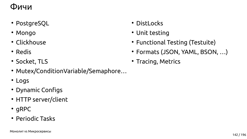- DistLocks
- Unit testing
- Functional Testing (Testuite)
- Formats (JSON, YAML, BSON, ...)
- Tracing, Metrics



- PostgreSQL
- Mongo
- Clickhouse
- Redis
- Socket, TLS
- Mutex/ConditionVariable/Semaphore...
- Logs
- Dynamic Configs
- HTTP server/client
- gRPC
- Periodic Tasks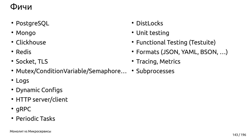- DistLocks
- Unit testing
- Functional Testing (Testuite)
- Formats (JSON, YAML, BSON, ...)
- Tracing, Metrics



- PostgreSQL
- Mongo
- Clickhouse
- Redis
- Socket, TLS
- Mutex/ConditionVariable/Semaphore... Subprocesses
- Logs
- Dynamic Configs
- HTTP server/client
- gRPC
- Periodic Tasks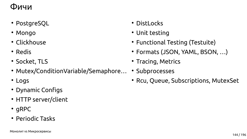- DistLocks
- Unit testing
- Functional Testing (Testuite)
- Formats (JSON, YAML, BSON, ...)
- Tracing, Metrics
- Subprocesses
	- Rcu, Queue, Subscriptions, MutexSet





- PostgreSQL
- Mongo
- Clickhouse
- Redis
- Socket, TLS
- Mutex/ConditionVariable/Semaphore...
- Logs
- Dynamic Configs
- HTTP server/client
- gRPC
- Periodic Tasks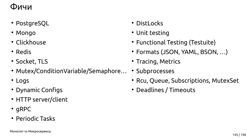- DistLocks
- Unit testing
- Functional Testing (Testuite)
- Formats (JSON, YAML, BSON, ...)
- Tracing, Metrics
- Subprocesses
	- Rcu, Queue, Subscriptions, MutexSet
	- Deadlines / Timeouts





- PostgreSQL
- Mongo
- Clickhouse
- Redis
- Socket, TLS
- Mutex/ConditionVariable/Semaphore...
- Logs
- Dynamic Configs
- HTTP server/client
- $\cdot$  gRPC
- Periodic Tasks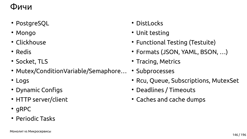- DistLocks
- Unit testing
- Functional Testing (Testuite)
- Formats (JSON, YAML, BSON, ...)
- Tracing, Metrics
- Subprocesses
	- Rcu, Queue, Subscriptions, MutexSet
	- Deadlines / Timeouts
	- Caches and cache dumps





- PostgreSQL
- Mongo
- Clickhouse
- Redis
- Socket, TLS
- Mutex/ConditionVariable/Semaphore...
- Logs
- Dynamic Configs
- HTTP server/client
- $\cdot$  gRPC
- Periodic Tasks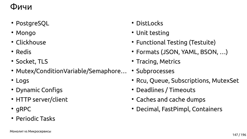- DistLocks
- Unit testing
- Functional Testing (Testuite)
- Formats (JSON, YAML, BSON, ...)
- Tracing, Metrics
- Subprocesses
	- Rcu, Queue, Subscriptions, MutexSet
	- Deadlines / Timeouts
	- Caches and cache dumps
	- Decimal, FastPimpl, Containers





- PostgreSQL
- Mongo
- Clickhouse
- Redis
- Socket, TLS
- Mutex/ConditionVariable/Semaphore...
- Logs
- Dynamic Configs
- HTTP server/client
- $\cdot$  gRPC
- Periodic Tasks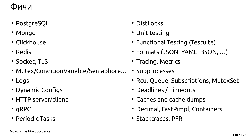- DistLocks
- Unit testing
- Functional Testing (Testuite)
- Formats (JSON, YAML, BSON, ...)
- Tracing, Metrics
- Subprocesses
	- Rcu, Queue, Subscriptions, MutexSet
	- Deadlines / Timeouts
	- Caches and cache dumps
	- Decimal, FastPimpl, Containers
	- Stacktraces, PFR





- PostgreSQL
- Mongo
- Clickhouse
- Redis
- Socket, TLS
- Mutex/ConditionVariable/Semaphore...
- Logs
- Dynamic Configs
- HTTP server/client
- $\cdot$  gRPC
- Periodic Tasks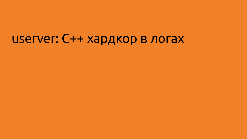# userver: С++ хардкор в логах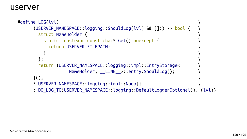

```
#define LOG(lvl) \
     !USERVER_NAMESPACE::logging::ShouldLog(lvl) && []() -> bool { \
      struct NameHolder { \
        static constexpr const char* Get() noexcept { \
         return USERVER_FILEPATH; \
\}}, return !USERVER_NAMESPACE::logging::impl::EntryStorage< \
             NameHolder, LINE_>::entry.ShouldLog();
\}(),
     ? USERVER_NAMESPACE::logging::impl::Noop{} \
     : DO_LOG_TO(USERVER_NAMESPACE::logging::DefaultLoggerOptional(), (lvl))
```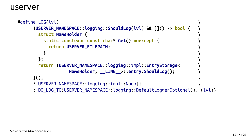

```
#define LOG(lvl) \
     !USERVER_NAMESPACE::logging::ShouldLog(lvl) && []() -> bool { \
      struct NameHolder { \
        static constexpr const char* Get() noexcept { \
         return USERVER_FILEPATH; \
 } \
 }; \
      return !USERVER_NAMESPACE::logging::impl::EntryStorage< \
               NameHolder, __LINE__>::entry.ShouldLog(); \
 }(), \
     ? USERVER_NAMESPACE::logging::impl::Noop{} \
     : DO_LOG_TO(USERVER_NAMESPACE::logging::DefaultLoggerOptional(), (lvl))
```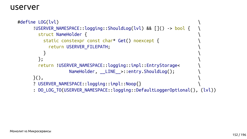

```
#define LOG(lvl) \
     !USERVER_NAMESPACE::logging::ShouldLog(lvl) && []() -> bool { \
      struct NameHolder { \
        static constexpr const char* Get() noexcept { \
         return USERVER_FILEPATH; \
\}}, return !USERVER_NAMESPACE::logging::impl::EntryStorage< \
             NameHolder, LINE_>::entry.ShouldLog();
\}(),
     ? USERVER_NAMESPACE::logging::impl::Noop{} \
     : DO_LOG_TO(USERVER_NAMESPACE::logging::DefaultLoggerOptional(), (lvl))
```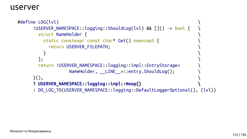

```
#define LOG(lvl) \
     !USERVER_NAMESPACE::logging::ShouldLog(lvl) && []() -> bool { \
      struct NameHolder { \
        static constexpr const char* Get() noexcept { \
         return USERVER_FILEPATH; \
\}}, return !USERVER_NAMESPACE::logging::impl::EntryStorage< \
             NameHolder, LINE_>::entry.ShouldLog();
\}(),
     ? USERVER_NAMESPACE::logging::impl::Noop{} \
     : DO_LOG_TO(USERVER_NAMESPACE::logging::DefaultLoggerOptional(), (lvl))
```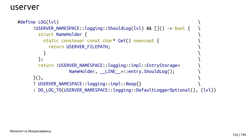

```
#define LOG(lvl) \
     !USERVER_NAMESPACE::logging::ShouldLog(lvl) && []() -> bool { \
      struct NameHolder { \
        static constexpr const char* Get() noexcept { \
         return USERVER_FILEPATH; \
\}}, return !USERVER_NAMESPACE::logging::impl::EntryStorage< \
             NameHolder, LINE_>::entry.ShouldLog();
\}(),
     ? USERVER_NAMESPACE::logging::impl::Noop{} \
     : DO_LOG_TO(USERVER_NAMESPACE::logging::DefaultLoggerOptional(), (lvl))
```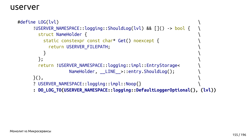

```
#define LOG(lvl) \
     !USERVER_NAMESPACE::logging::ShouldLog(lvl) && []() -> bool { \
      struct NameHolder { \
        static constexpr const char* Get() noexcept { \
         return USERVER_FILEPATH; \
\}}, return !USERVER_NAMESPACE::logging::impl::EntryStorage< \
             NameHolder, __LINE__>::entry.ShouldLog();
\}(),
     ? USERVER_NAMESPACE::logging::impl::Noop{} \
     : DO_LOG_TO(USERVER_NAMESPACE::logging::DefaultLoggerOptional(), (lvl))
```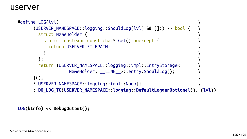

```
userver
```

```
#define LOG(lvl) \
     !USERVER_NAMESPACE::logging::ShouldLog(lvl) && []() -> bool { \
      struct NameHolder { \
        static constexpr const char* Get() noexcept { \
         return USERVER_FILEPATH; \
\}}, return !USERVER_NAMESPACE::logging::impl::EntryStorage< \
             NameHolder, __LINE__>::entry.ShouldLog();
\}(),
     ? USERVER_NAMESPACE::logging::impl::Noop{} \
     : DO_LOG_TO(USERVER_NAMESPACE::logging::DefaultLoggerOptional(), (lvl))
```
**LOG(kInfo) << DebugOutput();**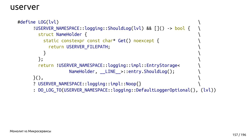

```
#define LOG(lvl) \
     !USERVER_NAMESPACE::logging::ShouldLog(lvl) && []() -> bool { \
      struct NameHolder { \
        static constexpr const char* Get() noexcept { \
         return USERVER_FILEPATH; \
\}}, return !USERVER_NAMESPACE::logging::impl::EntryStorage< \
             NameHolder, LINE_>::entry.ShouldLog();
\}(),
     ? USERVER_NAMESPACE::logging::impl::Noop{} \
     : DO_LOG_TO(USERVER_NAMESPACE::logging::DefaultLoggerOptional(), (lvl))
```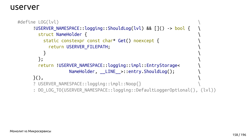

```
#define LOG(lvl) \
     !USERVER_NAMESPACE::logging::ShouldLog(lvl) && []() -> bool { \
      struct NameHolder { \
       static constexpr const char* Get() noexcept { \
         return USERVER_FILEPATH; \
\}}, return !USERVER_NAMESPACE::logging::impl::EntryStorage< \
             NameHolder, LINE_>::entry.ShouldLog();
\}(),
    ? USERVER_NAMESPACE::logging::impl::Noop{}
     : DO_LOG_TO(USERVER_NAMESPACE::logging::DefaultLoggerOptional(), (lvl))
```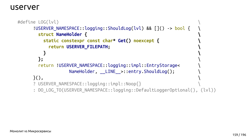

```
#define LOG(lvl) \
     !USERVER_NAMESPACE::logging::ShouldLog(lvl) && []() -> bool { \
      struct NameHolder { \
        static constexpr const char* Get() noexcept { \
         return USERVER_FILEPATH; \
 } \
 }; \
      return !USERVER_NAMESPACE::logging::impl::EntryStorage< \
              NameHolder, __LINE__>::entry.ShouldLog();
\}(),
    ? USERVER_NAMESPACE::logging::impl::Noop{}
     : DO_LOG_TO(USERVER_NAMESPACE::logging::DefaultLoggerOptional(), (lvl))
```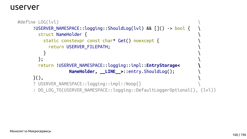

```
#define LOG(lvl) \
     !USERVER_NAMESPACE::logging::ShouldLog(lvl) && []() -> bool { \
      struct NameHolder { \
        static constexpr const char* Get() noexcept { \
         return USERVER_FILEPATH; \
\}}, return !USERVER_NAMESPACE::logging::impl::EntryStorage< \
              NameHolder, __LINE__>::entry.ShouldLog(); \
\}(),
    ? USERVER_NAMESPACE::logging::impl::Noop{}
     : DO_LOG_TO(USERVER_NAMESPACE::logging::DefaultLoggerOptional(), (lvl))
```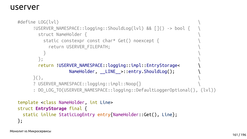

```
#define LOG(lvl) \
     !USERVER_NAMESPACE::logging::ShouldLog(lvl) && []() -> bool { \
      struct NameHolder { \
        static constexpr const char* Get() noexcept { \
         return USERVER_FILEPATH; \
\}\};
      return !USERVER_NAMESPACE::logging::impl::EntryStorage< \
              NameHolder, __LINE__>::entry.ShouldLog();
\}(),
     ? USERVER_NAMESPACE::logging::impl::Noop{} \
     : DO_LOG_TO(USERVER_NAMESPACE::logging::DefaultLoggerOptional(), (lvl))
template <class NameHolder, int Line>
```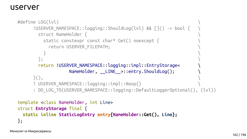

```
#define LOG(lvl) \
     !USERVER_NAMESPACE::logging::ShouldLog(lvl) && []() -> bool { \
      struct NameHolder { \
        static constexpr const char* Get() noexcept { \
         return USERVER_FILEPATH; \
\}\};
      return !USERVER_NAMESPACE::logging::impl::EntryStorage< \
              NameHolder, __LINE__>::entry.ShouldLog();
\}(),
     ? USERVER_NAMESPACE::logging::impl::Noop{} \
     : DO_LOG_TO(USERVER_NAMESPACE::logging::DefaultLoggerOptional(), (lvl))
template <class NameHolder, int Line>
```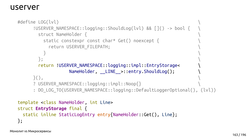

```
#define LOG(lvl) \
     !USERVER_NAMESPACE::logging::ShouldLog(lvl) && []() -> bool { \
      struct NameHolder { \
        static constexpr const char* Get() noexcept { \
         return USERVER_FILEPATH; \
\}\};
      return !USERVER_NAMESPACE::logging::impl::EntryStorage< \
              NameHolder, __LINE__>::entry.ShouldLog();
\}(),
     ? USERVER_NAMESPACE::logging::impl::Noop{} \
     : DO_LOG_TO(USERVER_NAMESPACE::logging::DefaultLoggerOptional(), (lvl))
template <class NameHolder, int Line>
```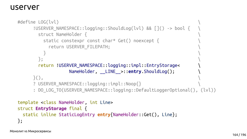

```
#define LOG(lvl) \
     !USERVER_NAMESPACE::logging::ShouldLog(lvl) && []() -> bool { \
      struct NameHolder { \
        static constexpr const char* Get() noexcept { \
         return USERVER_FILEPATH; \
\}\};
      return !USERVER_NAMESPACE::logging::impl::EntryStorage< \
               NameHolder, __LINE__>::entry.ShouldLog(); \
\}(),
     ? USERVER_NAMESPACE::logging::impl::Noop{} \
     : DO_LOG_TO(USERVER_NAMESPACE::logging::DefaultLoggerOptional(), (lvl))
template <class NameHolder, int Line>
```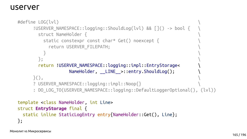

```
#define LOG(lvl) \
     !USERVER_NAMESPACE::logging::ShouldLog(lvl) && []() -> bool { \
      struct NameHolder { \
        static constexpr const char* Get() noexcept { \
         return USERVER_FILEPATH; \
\}\};
      return !USERVER_NAMESPACE::logging::impl::EntryStorage< \
              NameHolder, __LINE__>::entry.ShouldLog();
\}(),
     ? USERVER_NAMESPACE::logging::impl::Noop{} \
     : DO_LOG_TO(USERVER_NAMESPACE::logging::DefaultLoggerOptional(), (lvl))
template <class NameHolder, int Line>
```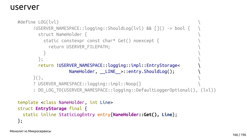Монолит vs Микросервисы



#### userver

```
#define LOG(lvl) \
     !USERVER_NAMESPACE::logging::ShouldLog(lvl) && []() -> bool { \
      struct NameHolder { \
        static constexpr const char* Get() noexcept { \
         return USERVER_FILEPATH; \
\}\};
      return !USERVER_NAMESPACE::logging::impl::EntryStorage< \
              NameHolder, __LINE__>::entry.ShouldLog();
\}(),
     ? USERVER_NAMESPACE::logging::impl::Noop{} \
     : DO_LOG_TO(USERVER_NAMESPACE::logging::DefaultLoggerOptional(), (lvl))
template <class NameHolder, int Line>
```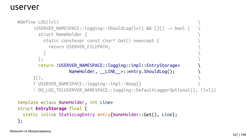

```
#define LOG(lvl) \
     !USERVER_NAMESPACE::logging::ShouldLog(lvl) && []() -> bool { \
      struct NameHolder { \
        static constexpr const char* Get() noexcept { \
         return USERVER_FILEPATH; \
\}\};
      return !USERVER_NAMESPACE::logging::impl::EntryStorage< \
              NameHolder, __LINE__>::entry.ShouldLog();
\}(),
     ? USERVER_NAMESPACE::logging::impl::Noop{} \
     : DO_LOG_TO(USERVER_NAMESPACE::logging::DefaultLoggerOptional(), (lvl))
template <class NameHolder, int Line>
```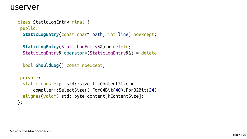

class StaticLogEntry final { public: **StaticLogEntry**(const char\* path, int line) noexcept;

 **StaticLogEntry**(StaticLogEntry&&) = delete; StaticLogEntry& operator=(StaticLogEntry&&) = delete;

```
private:
  static constexpr std::size_t kContentSize =
       compiler::SelectSize().For64Bit(40).For32Bit(24);
  alignas(void*) std::byte content[kContentSize];
};
```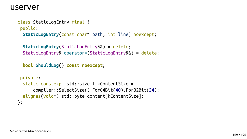

class StaticLogEntry final { public: **StaticLogEntry**(const char\* path, int line) noexcept;

 **StaticLogEntry**(StaticLogEntry&&) = delete; StaticLogEntry& operator=(StaticLogEntry&&) = delete;

```
private:
  static constexpr std::size_t kContentSize =
       compiler::SelectSize().For64Bit(40).For32Bit(24);
  alignas(void*) std::byte content[kContentSize];
};
```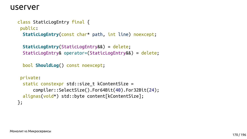

class StaticLogEntry final { public: **StaticLogEntry**(const char\* path, int line) noexcept;

 **StaticLogEntry**(StaticLogEntry&&) = delete; StaticLogEntry& operator=(StaticLogEntry&&) = delete;

```
private:
  static constexpr std::size_t kContentSize =
       compiler::SelectSize().For64Bit(40).For32Bit(24);
  alignas(void*) std::byte content[kContentSize];
};
```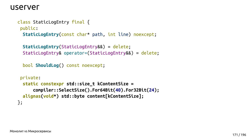

class StaticLogEntry final { public: **StaticLogEntry**(const char\* path, int line) noexcept;

 **StaticLogEntry**(StaticLogEntry&&) = delete; StaticLogEntry& operator=(StaticLogEntry&&) = delete;

```
private:
  static constexpr std::size_t kContentSize =
       compiler::SelectSize().For64Bit(40).For32Bit(24);
  alignas(void*) std::byte content[kContentSize];
};
```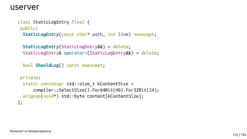

class StaticLogEntry final { public: **StaticLogEntry**(const char\* path, int line) noexcept;

 **StaticLogEntry**(StaticLogEntry&&) = delete; StaticLogEntry& operator=(StaticLogEntry&&) = delete;

```
private:
  static constexpr std::size_t kContentSize =
       compiler::SelectSize().For64Bit(40).For32Bit(24);
  alignas(void*) std::byte content[kContentSize];
};
```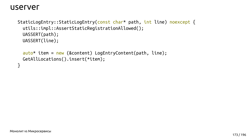

```
StaticLogEntry::StaticLogEntry(const char* path, int line) noexcept {
   utils::impl::AssertStaticRegistrationAllowed();
   UASSERT(path);
   UASSERT(line);
```

```
 auto* item = new (&content) LogEntryContent(path, line);
 GetAllLocations().insert(*item);
```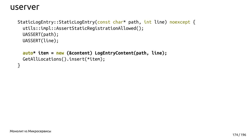

StaticLogEntry::StaticLogEntry(const char\* path, int line) noexcept { utils::impl::AssertStaticRegistrationAllowed(); UASSERT(path); UASSERT(line);

```
 auto* item = new (&content) LogEntryContent(path, line);
 GetAllLocations().insert(*item);
```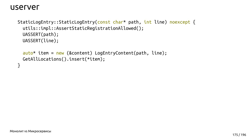

```
StaticLogEntry::StaticLogEntry(const char* path, int line) noexcept {
   utils::impl::AssertStaticRegistrationAllowed();
   UASSERT(path);
   UASSERT(line);
```

```
 auto* item = new (&content) LogEntryContent(path, line);
 GetAllLocations().insert(*item);
```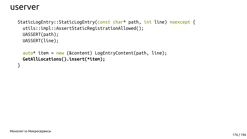

StaticLogEntry::StaticLogEntry(const char\* path, int line) noexcept { utils::impl::AssertStaticRegistrationAllowed(); UASSERT(path); UASSERT(line);

 auto\* item = new (&content) LogEntryContent(path, line);  **GetAllLocations().insert(\*item);**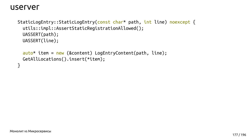

```
StaticLogEntry::StaticLogEntry(const char* path, int line) noexcept {
   utils::impl::AssertStaticRegistrationAllowed();
   UASSERT(path);
   UASSERT(line);
```

```
 auto* item = new (&content) LogEntryContent(path, line);
 GetAllLocations().insert(*item);
```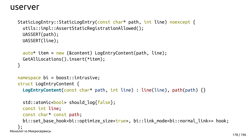

```
StaticLogEntry::StaticLogEntry(const char* path, int line) noexcept {
   utils::impl::AssertStaticRegistrationAllowed();
  UASSERT(path);
  UASSERT(line);
```

```
namespace bi = boost::intrusive;
struct LogEntryContent {
   LogEntryContent(const char* path, int line) : line(line), path(path) {}
  std::atomic<bool> should log{false};
```

```
 auto* item = new (&content) LogEntryContent(path, line);
  GetAllLocations().insert(*item);
}
```

```
Монолит vs Микросервисы
      const int line;
      const char* const path;
   };
```
bi::set\_base\_hook<bi::optimize\_size<true>, bi::link\_mode<bi::normal\_link>> hook;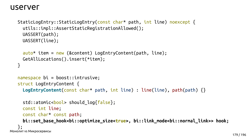

```
StaticLogEntry::StaticLogEntry(const char* path, int line) noexcept {
   utils::impl::AssertStaticRegistrationAllowed();
  UASSERT(path);
  UASSERT(line);
```

```
 auto* item = new (&content) LogEntryContent(path, line);
  GetAllLocations().insert(*item);
}
```

```
Монолит vs Микросервисы
     std::atomic<bool> should log{false};
      const int line;
      const char* const path;
   };
```

```
namespace bi = boost::intrusive;
struct LogEntryContent {
   LogEntryContent(const char* path, int line) : line(line), path(path) {}
```
 **bi::set\_base\_hook<bi::optimize\_size<true>, bi::link\_mode<bi::normal\_link>> hook;**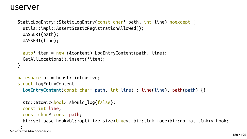

```
StaticLogEntry::StaticLogEntry(const char* path, int line) noexcept {
   utils::impl::AssertStaticRegistrationAllowed();
  UASSERT(path);
  UASSERT(line);
```

```
namespace bi = boost::intrusive;
struct LogEntryContent {
   LogEntryContent(const char* path, int line) : line(line), path(path) {}
  std::atomic<bool> should log{false};
```

```
 auto* item = new (&content) LogEntryContent(path, line);
  GetAllLocations().insert(*item);
}
```

```
Монолит vs Микросервисы
      const int line;
      const char* const path;
   };
```
bi::set\_base\_hook<bi::optimize\_size<true>, bi::link\_mode<bi::normal\_link>> hook;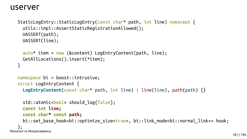

### userver

```
StaticLogEntry::StaticLogEntry(const char* path, int line) noexcept {
   utils::impl::AssertStaticRegistrationAllowed();
  UASSERT(path);
  UASSERT(line);
```

```
 auto* item = new (&content) LogEntryContent(path, line);
  GetAllLocations().insert(*item);
}
```

```
Монолит vs Микросервисы
     std::atomic<bool> should log{false};
      const int line;
      const char* const path;
   };
```

```
namespace bi = boost::intrusive;
struct LogEntryContent {
   LogEntryContent(const char* path, int line) : line(line), path(path) {}
```
bi::set\_base\_hook<bi::optimize\_size<true>, bi::link\_mode<bi::normal\_link>> hook;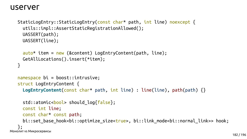

### userver

```
StaticLogEntry::StaticLogEntry(const char* path, int line) noexcept {
   utils::impl::AssertStaticRegistrationAllowed();
  UASSERT(path);
  UASSERT(line);
```

```
namespace bi = boost::intrusive;
struct LogEntryContent {
   LogEntryContent(const char* path, int line) : line(line), path(path) {}
  std::atomic<bool> should log{false};
```

```
 auto* item = new (&content) LogEntryContent(path, line);
  GetAllLocations().insert(*item);
}
```

```
Монолит vs Микросервисы
      const int line;
      const char* const path;
   };
```
bi::set\_base\_hook<bi::optimize\_size<true>, bi::link\_mode<bi::normal\_link>> hook;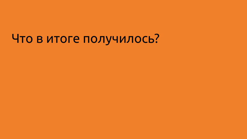# Что в итоге получилось?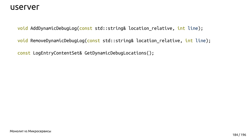

### userver

void AddDynamicDebugLog(const std::string& location\_relative, int line); void RemoveDynamicDebugLog(const std::string& location\_relative, int line); const LogEntryContentSet& GetDynamicDebugLocations();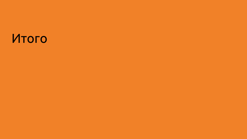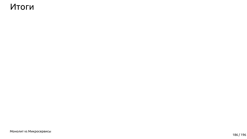## Итоги

Монолит vs Микросервисы

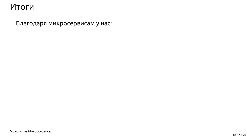Монолит vs Микросервисы

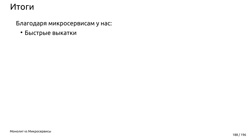• Быстрые выкатки

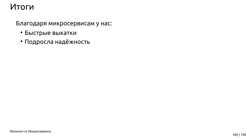- Быстрые выкатки
- Подросла надёжность

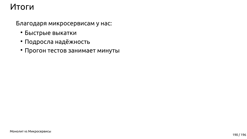- Быстрые выкатки
- Подросла надёжность
- Прогон тестов занимает минуты

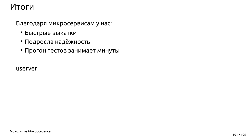## Итоги

#### Благодаря микросервисам у нас:

- Быстрые выкатки
- Подросла надёжность
- Прогон тестов занимает минуты

**USETVET** 

**Монолит vs Микросервисы** 

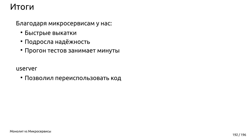- Быстрые выкатки
- Подросла надёжность
- Прогон тестов занимает минуты

#### userver

• Позволил переиспользовать код

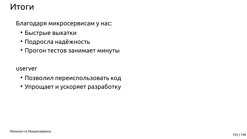- Быстрые выкатки
- Подросла надёжность
- Прогон тестов занимает минуты

#### userver

- Позволил переиспользовать код
- Упрощает и ускоряет разработку

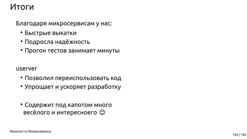## Итоги

#### Благодаря микросервисам у нас:

- Быстрые выкатки
- Подросла надёжность
- Прогон тестов занимает минуты

#### **USETVET**

- Позволил переиспользовать код
- Упрощает и ускоряет разработку
- Содержит под капотом много весёлого и интересноего ©

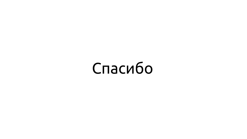Спасибо